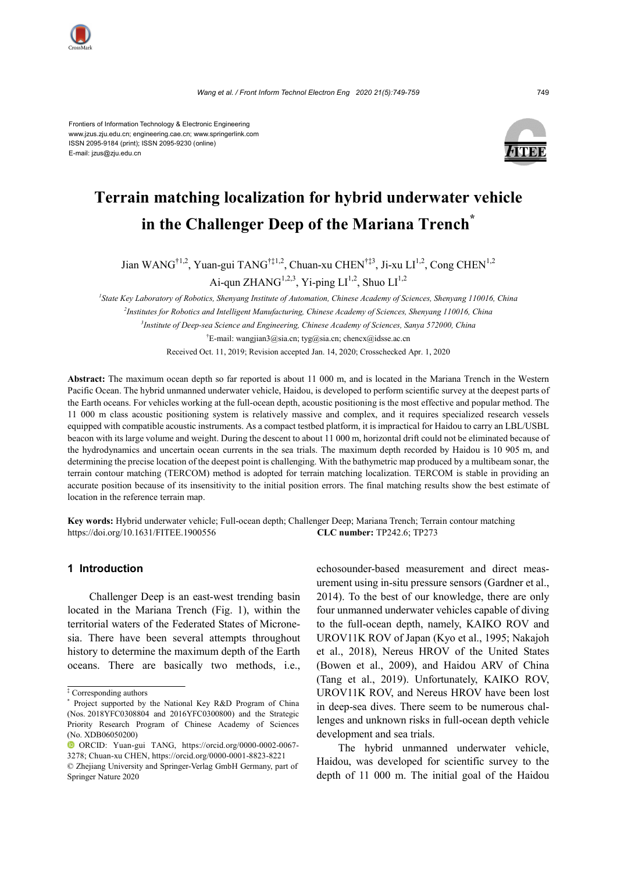



# **Terrain matching localization for hybrid underwater vehicle in the Challenger Deep of the Mariana Trench\***

Jian WANG<sup>†1,2</sup>, Yuan-gui TANG<sup>†‡1,2</sup>, Chuan-xu CHEN<sup>†‡3</sup>, Ji-xu LI<sup>1,2</sup>, Cong CHEN<sup>1,2</sup>

Ai-qun ZHANG<sup>1,2,3</sup>, Yi-ping  $LI^{1,2}$ , Shuo  $LI^{1,2}$ 

*1 State Key Laboratory of Robotics, Shenyang Institute of Automation, Chinese Academy of Sciences, Shenyang 110016, China 2 Institutes for Robotics and Intelligent Manufacturing, Chinese Academy of Sciences, Shenyang 110016, China 3 Institute of Deep-sea Science and Engineering, Chinese Academy of Sciences, Sanya 572000, China* † E-mail: wangjian3@sia.cn; tyg@sia.cn; chencx@idsse.ac.cn Received Oct. 11, 2019; Revision accepted Jan. 14, 2020; Crosschecked Apr. 1, 2020

**Abstract:** The maximum ocean depth so far reported is about 11 000 m, and is located in the Mariana Trench in the Western Pacific Ocean. The hybrid unmanned underwater vehicle, Haidou, is developed to perform scientific survey at the deepest parts of the Earth oceans. For vehicles working at the full-ocean depth, acoustic positioning is the most effective and popular method. The 11 000 m class acoustic positioning system is relatively massive and complex, and it requires specialized research vessels equipped with compatible acoustic instruments. As a compact testbed platform, it is impractical for Haidou to carry an LBL/USBL beacon with its large volume and weight. During the descent to about 11 000 m, horizontal drift could not be eliminated because of the hydrodynamics and uncertain ocean currents in the sea trials. The maximum depth recorded by Haidou is 10 905 m, and determining the precise location of the deepest point is challenging. With the bathymetric map produced by a multibeam sonar, the terrain contour matching (TERCOM) method is adopted for terrain matching localization. TERCOM is stable in providing an accurate position because of its insensitivity to the initial position errors. The final matching results show the best estimate of location in the reference terrain map.

**Key words:** Hybrid underwater vehicle; Full-ocean depth; Challenger Deep; Mariana Trench; Terrain contour matching https://doi.org/10.1631/FITEE.1900556 **CLC number:** TP242.6; TP273

## **1 Introduction**

Challenger Deep is an east-west trending basin located in the Mariana Trench (Fig. 1), within the territorial waters of the Federated States of Micronesia. There have been several attempts throughout history to determine the maximum depth of the Earth oceans. There are basically two methods, i.e.,

echosounder-based measurement and direct measurement using in-situ pressure sensors (Gardner et al., 2014). To the best of our knowledge, there are only four unmanned underwater vehicles capable of diving to the full-ocean depth, namely, KAIKO ROV and UROV11K ROV of Japan (Kyo et al., 1995; Nakajoh et al., 2018), Nereus HROV of the United States (Bowen et al., 2009), and Haidou ARV of China (Tang et al., 2019). Unfortunately, KAIKO ROV, UROV11K ROV, and Nereus HROV have been lost in deep-sea dives. There seem to be numerous challenges and unknown risks in full-ocean depth vehicle development and sea trials.

The hybrid unmanned underwater vehicle, Haidou, was developed for scientific survey to the depth of 11 000 m. The initial goal of the Haidou

<sup>‡</sup> Corresponding authors

<sup>\*</sup> Project supported by the National Key R&D Program of China (Nos. 2018YFC0308804 and 2016YFC0300800) and the Strategic Priority Research Program of Chinese Academy of Sciences (No. XDB06050200)

ORCID: Yuan-gui TANG, https://orcid.org/0000-0002-0067- 3278; Chuan-xu CHEN, https://orcid.org/0000-0001-8823-8221

<sup>©</sup> Zhejiang University and Springer-Verlag GmbH Germany, part of Springer Nature 2020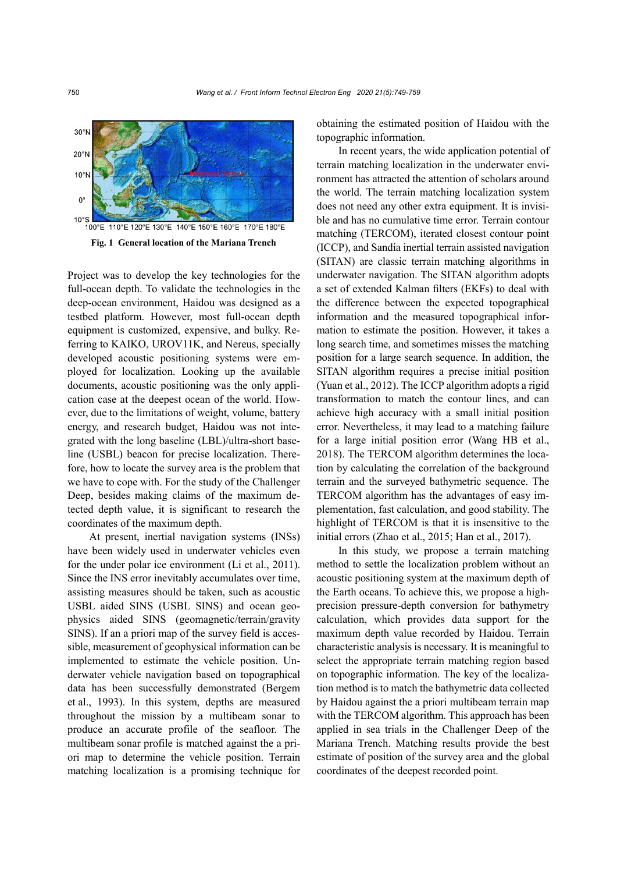

Project was to develop the key technologies for the full-ocean depth. To validate the technologies in the deep-ocean environment, Haidou was designed as a testbed platform. However, most full-ocean depth equipment is customized, expensive, and bulky. Referring to KAIKO, UROV11K, and Nereus, specially developed acoustic positioning systems were employed for localization. Looking up the available documents, acoustic positioning was the only application case at the deepest ocean of the world. However, due to the limitations of weight, volume, battery energy, and research budget, Haidou was not integrated with the long baseline (LBL)/ultra-short baseline (USBL) beacon for precise localization. Therefore, how to locate the survey area is the problem that we have to cope with. For the study of the Challenger Deep, besides making claims of the maximum detected depth value, it is significant to research the coordinates of the maximum depth.

At present, inertial navigation systems (INSs) have been widely used in underwater vehicles even for the under polar ice environment (Li et al., 2011). Since the INS error inevitably accumulates over time, assisting measures should be taken, such as acoustic USBL aided SINS (USBL SINS) and ocean geophysics aided SINS (geomagnetic/terrain/gravity SINS). If an a priori map of the survey field is accessible, measurement of geophysical information can be implemented to estimate the vehicle position. Underwater vehicle navigation based on topographical data has been successfully demonstrated (Bergem et al., 1993). In this system, depths are measured throughout the mission by a multibeam sonar to produce an accurate profile of the seafloor. The multibeam sonar profile is matched against the a priori map to determine the vehicle position. Terrain matching localization is a promising technique for obtaining the estimated position of Haidou with the topographic information.

In recent years, the wide application potential of terrain matching localization in the underwater environment has attracted the attention of scholars around the world. The terrain matching localization system does not need any other extra equipment. It is invisible and has no cumulative time error. Terrain contour matching (TERCOM), iterated closest contour point (ICCP), and Sandia inertial terrain assisted navigation (SITAN) are classic terrain matching algorithms in underwater navigation. The SITAN algorithm adopts a set of extended Kalman filters (EKFs) to deal with the difference between the expected topographical information and the measured topographical information to estimate the position. However, it takes a long search time, and sometimes misses the matching position for a large search sequence. In addition, the SITAN algorithm requires a precise initial position (Yuan et al., 2012). The ICCP algorithm adopts a rigid transformation to match the contour lines, and can achieve high accuracy with a small initial position error. Nevertheless, it may lead to a matching failure for a large initial position error (Wang HB et al., 2018). The TERCOM algorithm determines the location by calculating the correlation of the background terrain and the surveyed bathymetric sequence. The TERCOM algorithm has the advantages of easy implementation, fast calculation, and good stability. The highlight of TERCOM is that it is insensitive to the initial errors (Zhao et al., 2015; Han et al., 2017).

In this study, we propose a terrain matching method to settle the localization problem without an acoustic positioning system at the maximum depth of the Earth oceans. To achieve this, we propose a highprecision pressure-depth conversion for bathymetry calculation, which provides data support for the maximum depth value recorded by Haidou. Terrain characteristic analysis is necessary. It is meaningful to select the appropriate terrain matching region based on topographic information. The key of the localization method is to match the bathymetric data collected by Haidou against the a priori multibeam terrain map with the TERCOM algorithm. This approach has been applied in sea trials in the Challenger Deep of the Mariana Trench. Matching results provide the best estimate of position of the survey area and the global coordinates of the deepest recorded point.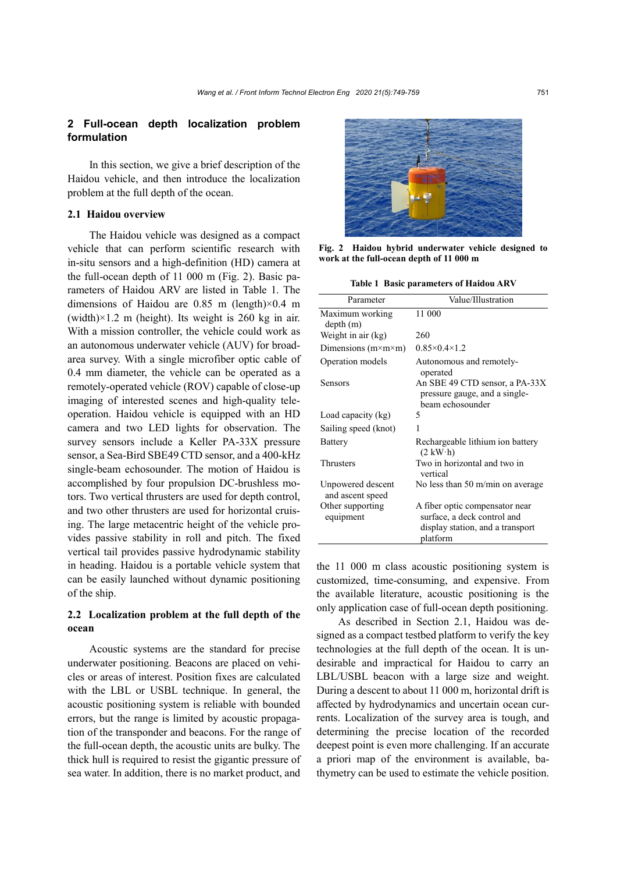# **2 Full-ocean depth localization problem formulation**

In this section, we give a brief description of the Haidou vehicle, and then introduce the localization problem at the full depth of the ocean.

## **2.1 Haidou overview**

The Haidou vehicle was designed as a compact vehicle that can perform scientific research with in-situ sensors and a high-definition (HD) camera at the full-ocean depth of 11 000 m (Fig. 2). Basic parameters of Haidou ARV are listed in Table 1. The dimensions of Haidou are 0.85 m (length)×0.4 m (width) $\times$ 1.2 m (height). Its weight is 260 kg in air. With a mission controller, the vehicle could work as an autonomous underwater vehicle (AUV) for broadarea survey. With a single microfiber optic cable of 0.4 mm diameter, the vehicle can be operated as a remotely-operated vehicle (ROV) capable of close-up imaging of interested scenes and high-quality teleoperation. Haidou vehicle is equipped with an HD camera and two LED lights for observation. The survey sensors include a Keller PA-33X pressure sensor, a Sea-Bird SBE49 CTD sensor, and a 400-kHz single-beam echosounder. The motion of Haidou is accomplished by four propulsion DC-brushless motors. Two vertical thrusters are used for depth control, and two other thrusters are used for horizontal cruising. The large metacentric height of the vehicle provides passive stability in roll and pitch. The fixed vertical tail provides passive hydrodynamic stability in heading. Haidou is a portable vehicle system that can be easily launched without dynamic positioning of the ship.

# **2.2 Localization problem at the full depth of the ocean**

Acoustic systems are the standard for precise underwater positioning. Beacons are placed on vehicles or areas of interest. Position fixes are calculated with the LBL or USBL technique. In general, the acoustic positioning system is reliable with bounded errors, but the range is limited by acoustic propagation of the transponder and beacons. For the range of the full-ocean depth, the acoustic units are bulky. The thick hull is required to resist the gigantic pressure of sea water. In addition, there is no market product, and



**Fig. 2 Haidou hybrid underwater vehicle designed to work at the full-ocean depth of 11 000 m**

**Table 1 Basic parameters of Haidou ARV**

| Parameter                             | Value/Illustration                                                                                            |
|---------------------------------------|---------------------------------------------------------------------------------------------------------------|
| Maximum working<br>depth (m)          | 11 000                                                                                                        |
| Weight in air (kg)                    | 260                                                                                                           |
| Dimensions $(m \times m \times m)$    | $0.85 \times 0.4 \times 1.2$                                                                                  |
| Operation models                      | Autonomous and remotely-<br>operated                                                                          |
| Sensors                               | An SBE 49 CTD sensor, a PA-33X<br>pressure gauge, and a single-<br>beam echosounder                           |
| Load capacity (kg)                    | 5                                                                                                             |
| Sailing speed (knot)                  | 1                                                                                                             |
| Battery                               | Rechargeable lithium ion battery<br>$(2 \text{ kW} \cdot \text{h})$                                           |
| Thrusters                             | Two in horizontal and two in<br>vertical                                                                      |
| Unpowered descent<br>and ascent speed | No less than 50 m/min on average                                                                              |
| Other supporting<br>equipment         | A fiber optic compensator near<br>surface, a deck control and<br>display station, and a transport<br>platform |

the 11 000 m class acoustic positioning system is customized, time-consuming, and expensive. From the available literature, acoustic positioning is the only application case of full-ocean depth positioning.

As described in Section 2.1, Haidou was designed as a compact testbed platform to verify the key technologies at the full depth of the ocean. It is undesirable and impractical for Haidou to carry an LBL/USBL beacon with a large size and weight. During a descent to about 11 000 m, horizontal drift is affected by hydrodynamics and uncertain ocean currents. Localization of the survey area is tough, and determining the precise location of the recorded deepest point is even more challenging. If an accurate a priori map of the environment is available, bathymetry can be used to estimate the vehicle position.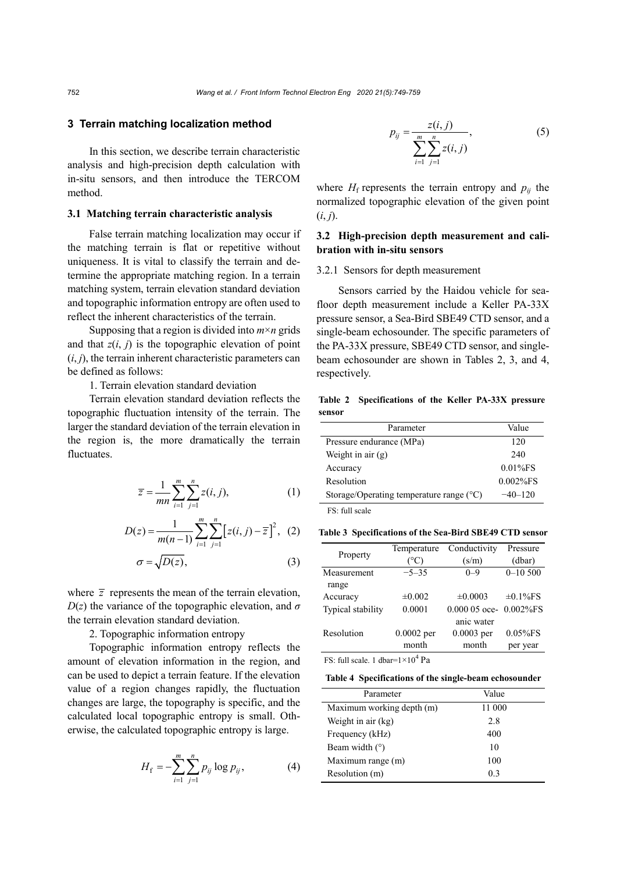## **3 Terrain matching localization method**

In this section, we describe terrain characteristic analysis and high-precision depth calculation with in-situ sensors, and then introduce the TERCOM method.

## **3.1 Matching terrain characteristic analysis**

False terrain matching localization may occur if the matching terrain is flat or repetitive without uniqueness. It is vital to classify the terrain and determine the appropriate matching region. In a terrain matching system, terrain elevation standard deviation and topographic information entropy are often used to reflect the inherent characteristics of the terrain.

Supposing that a region is divided into  $m \times n$  grids and that  $z(i, j)$  is the topographic elevation of point  $(i, j)$ , the terrain inherent characteristic parameters can be defined as follows:

1. Terrain elevation standard deviation

Terrain elevation standard deviation reflects the topographic fluctuation intensity of the terrain. The larger the standard deviation of the terrain elevation in the region is, the more dramatically the terrain fluctuates.

$$
\overline{z} = \frac{1}{mn} \sum_{i=1}^{m} \sum_{j=1}^{n} z(i, j),
$$
 (1)

$$
D(z) = \frac{1}{m(n-1)} \sum_{i=1}^{m} \sum_{j=1}^{n} \left[ z(i, j) - \overline{z} \right]^2, (2)
$$

$$
\sigma = \sqrt{D(z)},\tag{3}
$$

where  $\bar{z}$  represents the mean of the terrain elevation,  $D(z)$  the variance of the topographic elevation, and  $\sigma$ the terrain elevation standard deviation.

2. Topographic information entropy

Topographic information entropy reflects the amount of elevation information in the region, and can be used to depict a terrain feature. If the elevation value of a region changes rapidly, the fluctuation changes are large, the topography is specific, and the calculated local topographic entropy is small. Otherwise, the calculated topographic entropy is large.

$$
H_{\rm f} = -\sum_{i=1}^{m} \sum_{j=1}^{n} p_{ij} \log p_{ij}, \qquad (4)
$$

$$
p_{ij} = \frac{z(i,j)}{\sum_{i=1}^{m} \sum_{j=1}^{n} z(i,j)},
$$
\n(5)

where  $H_f$  represents the terrain entropy and  $p_{ij}$  the normalized topographic elevation of the given point  $(i, j)$ .

# **3.2 High-precision depth measurement and calibration with in-situ sensors**

## 3.2.1 Sensors for depth measurement

Sensors carried by the Haidou vehicle for seafloor depth measurement include a Keller PA-33X pressure sensor, a Sea-Bird SBE49 CTD sensor, and a single-beam echosounder. The specific parameters of the PA-33X pressure, SBE49 CTD sensor, and singlebeam echosounder are shown in Tables 2, 3, and 4, respectively.

**Table 2 Specifications of the Keller PA-33X pressure sensor**

| Parameter                                         | Value        |
|---------------------------------------------------|--------------|
| Pressure endurance (MPa)                          | 120          |
| Weight in air $(g)$                               | 2.40         |
| Accuracy                                          | $0.01\%$ FS  |
| Resolution                                        | $0.002\%$ FS |
| Storage/Operating temperature range $(^{\circ}C)$ | $-40-120$    |
| DC 0.11                                           |              |

FS: full scale

**Table 3 Specifications of the Sea-Bird SBE49 CTD sensor**

|                   | Temperature          | Conductivity                | Pressure       |
|-------------------|----------------------|-----------------------------|----------------|
| Property          | $^{\circ}\mathrm{C}$ | (s/m)                       | (dbar)         |
| Measurement       | $-5-35$              | $0 - 9$                     | $0 - 10500$    |
| range             |                      |                             |                |
| Accuracy          | $\pm 0.002$          | $\pm 0.0003$                | $\pm 0.1\%$ FS |
| Typical stability | 0.0001               | $0.00005$ oce- $0.002\%$ FS |                |
|                   |                      | anic water                  |                |
| Resolution        | $0.0002$ per         | $0.0003$ per                | $0.05%$ FS     |
|                   | month                | month                       | per year       |

FS: full scale. 1 dbar= $1 \times 10^4$  Pa

| Parameter                 | Value          |
|---------------------------|----------------|
| Maximum working depth (m) | 11 000         |
| Weight in air (kg)        | 2.8            |
| Frequency (kHz)           | 400            |
| Beam width $(°)$          | 10             |
| Maximum range (m)         | 100            |
| Resolution (m)            | 0 <sup>3</sup> |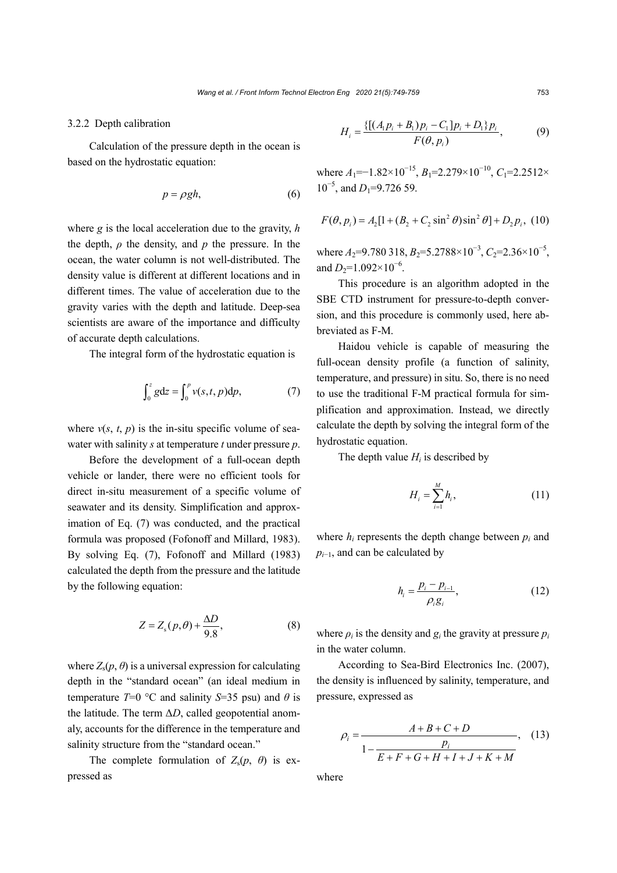## 3.2.2 Depth calibration

Calculation of the pressure depth in the ocean is based on the hydrostatic equation:

$$
p = \rho g h,\tag{6}
$$

where *g* is the local acceleration due to the gravity, *h* the depth,  $\rho$  the density, and  $p$  the pressure. In the ocean, the water column is not well-distributed. The density value is different at different locations and in different times. The value of acceleration due to the gravity varies with the depth and latitude. Deep-sea scientists are aware of the importance and difficulty of accurate depth calculations.

The integral form of the hydrostatic equation is

$$
\int_0^z g dz = \int_0^p v(s,t,p) dp, \tag{7}
$$

where  $v(s, t, p)$  is the in-situ specific volume of seawater with salinity *s* at temperature *t* under pressure *p*.

Before the development of a full-ocean depth vehicle or lander, there were no efficient tools for direct in-situ measurement of a specific volume of seawater and its density. Simplification and approximation of Eq. (7) was conducted, and the practical formula was proposed (Fofonoff and Millard, 1983). By solving Eq. (7), Fofonoff and Millard (1983) calculated the depth from the pressure and the latitude by the following equation:

$$
Z = Z_s(p, \theta) + \frac{\Delta D}{9.8},\tag{8}
$$

where  $Z_s(p, \theta)$  is a universal expression for calculating depth in the "standard ocean" (an ideal medium in temperature *T*=0 °C and salinity *S*=35 psu) and  $\theta$  is the latitude. The term Δ*D*, called geopotential anomaly, accounts for the difference in the temperature and salinity structure from the "standard ocean."

The complete formulation of  $Z_s(p, \theta)$  is expressed as

$$
H_{i} = \frac{\{[(A_{i}p_{i} + B_{i})p_{i} - C_{1}]p_{i} + D_{1}\}p_{i}}{F(\theta, p_{i})},
$$
(9)

where  $A_1$ =−1.82×10<sup>-15</sup>,  $B_1$ =2.279×10<sup>-10</sup>,  $C_1$ =2.2512× 10<sup>-5</sup>, and *D*<sub>1</sub>=9.726 59.

$$
F(\theta, p_i) = A_2[1 + (B_2 + C_2 \sin^2 \theta) \sin^2 \theta] + D_2 p_i, (10)
$$

where  $A_2$ =9.780 318,  $B_2$ =5.2788×10<sup>-3</sup>,  $C_2$ =2.36×10<sup>-5</sup>, and  $D_2=1.092\times10^{-6}$ .

This procedure is an algorithm adopted in the SBE CTD instrument for pressure-to-depth conversion, and this procedure is commonly used, here abbreviated as F-M.

Haidou vehicle is capable of measuring the full-ocean density profile (a function of salinity, temperature, and pressure) in situ. So, there is no need to use the traditional F-M practical formula for simplification and approximation. Instead, we directly calculate the depth by solving the integral form of the hydrostatic equation.

The depth value  $H_i$  is described by

$$
H_i = \sum_{i=1}^{M} h_i, \qquad (11)
$$

where  $h_i$  represents the depth change between  $p_i$  and *p<sub>i−1</sub>*, and can be calculated by

$$
h_i = \frac{p_i - p_{i-1}}{\rho_i g_i},\tag{12}
$$

where  $\rho_i$  is the density and  $g_i$  the gravity at pressure  $p_i$ in the water column.

According to Sea-Bird Electronics Inc. (2007), the density is influenced by salinity, temperature, and pressure, expressed as

$$
\rho_i = \frac{A + B + C + D}{1 - \frac{p_i}{E + F + G + H + I + J + K + M}},
$$
(13)

where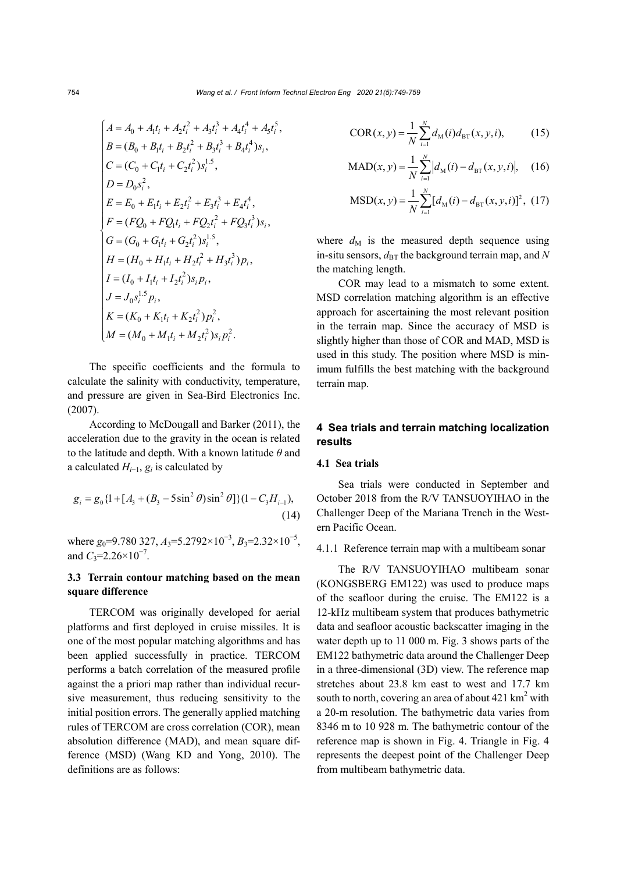,

$$
A = A_0 + A_1t_i + A_2t_i^2 + A_3t_i^3 + A_4t_i^4 + A_5t_i^5
$$
  
\n
$$
B = (B_0 + B_1t_i + B_2t_i^2 + B_3t_i^3 + B_4t_i^4)s_i,
$$
  
\n
$$
C = (C_0 + C_1t_i + C_2t_i^2)s_i^{1.5},
$$
  
\n
$$
D = D_0s_i^2,
$$
  
\n
$$
E = E_0 + E_1t_i + E_2t_i^2 + E_3t_i^3 + E_4t_i^4,
$$
  
\n
$$
F = (FQ_0 + FQ_1t_i + FQ_2t_i^2 + FQ_3t_i^3)s_i,
$$
  
\n
$$
G = (G_0 + G_1t_i + G_2t_i^2)s_i^{1.5},
$$
  
\n
$$
H = (H_0 + H_1t_i + H_2t_i^2 + H_3t_i^3)p_i,
$$
  
\n
$$
I = (I_0 + I_1t_i + I_2t_i^2)s_i p_i,
$$
  
\n
$$
J = J_0s_i^{1.5}p_i,
$$
  
\n
$$
K = (K_0 + K_1t_i + K_2t_i^2)p_i^2,
$$
  
\n
$$
M = (M_0 + M_1t_i + M_2t_i^2)s_i p_i^2.
$$

The specific coefficients and the formula to calculate the salinity with conductivity, temperature, and pressure are given in Sea-Bird Electronics Inc. (2007).

According to McDougall and Barker (2011), the acceleration due to the gravity in the ocean is related to the latitude and depth. With a known latitude *θ* and a calculated *Hi*−1, *gi* is calculated by

$$
g_i = g_0 \{1 + [A_3 + (B_3 - 5\sin^2 \theta)\sin^2 \theta]\}(1 - C_3 H_{i-1}),
$$
\n(14)

where *g*<sub>0</sub>=9.780 327, *A*<sub>3</sub>=5.2792×10<sup>-3</sup>, *B*<sub>3</sub>=2.32×10<sup>-5</sup>, and  $C_3$ =2.26×10<sup>-7</sup>.

# **3.3 Terrain contour matching based on the mean square difference**

TERCOM was originally developed for aerial platforms and first deployed in cruise missiles. It is one of the most popular matching algorithms and has been applied successfully in practice. TERCOM performs a batch correlation of the measured profile against the a priori map rather than individual recursive measurement, thus reducing sensitivity to the initial position errors. The generally applied matching rules of TERCOM are cross correlation (COR), mean absolution difference (MAD), and mean square difference (MSD) (Wang KD and Yong, 2010). The definitions are as follows:

COR
$$
(x, y) = \frac{1}{N} \sum_{i=1}^{N} d_M(i) d_{\text{BT}}(x, y, i),
$$
 (15)

$$
MAD(x, y) = \frac{1}{N} \sum_{i=1}^{N} |d_M(i) - d_{\text{BT}}(x, y, i)|, \quad (16)
$$

$$
MSD(x, y) = \frac{1}{N} \sum_{i=1}^{N} [d_M(i) - d_{BT}(x, y, i)]^2, (17)
$$

where  $d_M$  is the measured depth sequence using in-situ sensors,  $d_{\text{BT}}$  the background terrain map, and *N* the matching length.

COR may lead to a mismatch to some extent. MSD correlation matching algorithm is an effective approach for ascertaining the most relevant position in the terrain map. Since the accuracy of MSD is slightly higher than those of COR and MAD, MSD is used in this study. The position where MSD is minimum fulfills the best matching with the background terrain map.

## **4 Sea trials and terrain matching localization results**

## **4.1 Sea trials**

Sea trials were conducted in September and October 2018 from the R/V TANSUOYIHAO in the Challenger Deep of the Mariana Trench in the Western Pacific Ocean.

## 4.1.1 Reference terrain map with a multibeam sonar

The R/V TANSUOYIHAO multibeam sonar (KONGSBERG EM122) was used to produce maps of the seafloor during the cruise. The EM122 is a 12-kHz multibeam system that produces bathymetric data and seafloor acoustic backscatter imaging in the water depth up to 11 000 m. Fig. 3 shows parts of the EM122 bathymetric data around the Challenger Deep in a three-dimensional (3D) view. The reference map stretches about 23.8 km east to west and 17.7 km south to north, covering an area of about  $421 \text{ km}^2$  with a 20-m resolution. The bathymetric data varies from 8346 m to 10 928 m. The bathymetric contour of the reference map is shown in Fig. 4. Triangle in Fig. 4 represents the deepest point of the Challenger Deep from multibeam bathymetric data.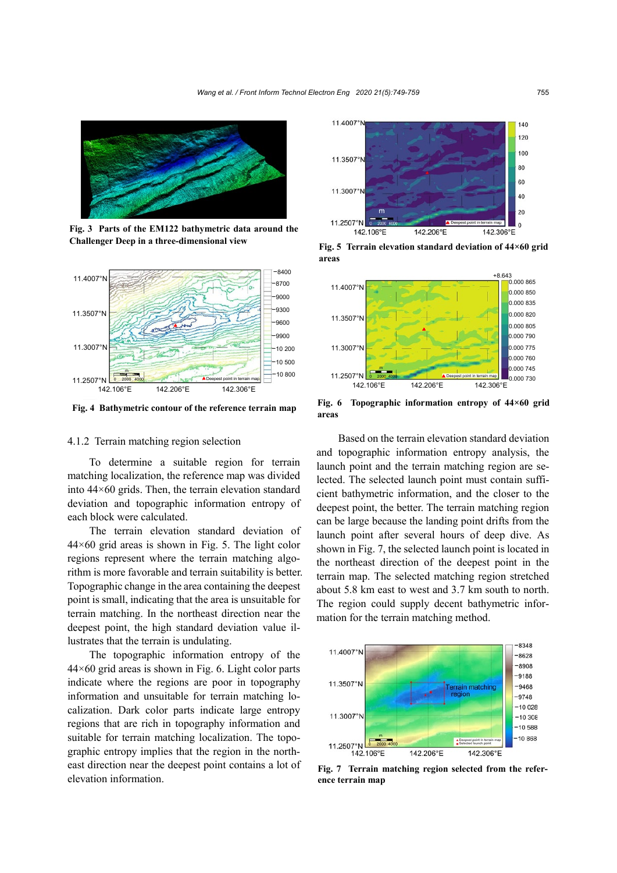

**Fig. 3 Parts of the EM122 bathymetric data around the Challenger Deep in a three-dimensional view**



**Fig. 4 Bathymetric contour of the reference terrain map**

## 4.1.2 Terrain matching region selection

To determine a suitable region for terrain matching localization, the reference map was divided into 44×60 grids. Then, the terrain elevation standard deviation and topographic information entropy of each block were calculated.

The terrain elevation standard deviation of  $44\times60$  grid areas is shown in Fig. 5. The light color regions represent where the terrain matching algorithm is more favorable and terrain suitability is better. Topographic change in the area containing the deepest point is small, indicating that the area is unsuitable for terrain matching. In the northeast direction near the deepest point, the high standard deviation value illustrates that the terrain is undulating.

The topographic information entropy of the  $44\times60$  grid areas is shown in Fig. 6. Light color parts indicate where the regions are poor in topography information and unsuitable for terrain matching localization. Dark color parts indicate large entropy regions that are rich in topography information and suitable for terrain matching localization. The topographic entropy implies that the region in the northeast direction near the deepest point contains a lot of elevation information.



**Fig. 5 Terrain elevation standard deviation of 44×60 grid areas**



**Fig. 6 Topographic information entropy of 44×60 grid areas**

Based on the terrain elevation standard deviation and topographic information entropy analysis, the launch point and the terrain matching region are selected. The selected launch point must contain sufficient bathymetric information, and the closer to the deepest point, the better. The terrain matching region can be large because the landing point drifts from the launch point after several hours of deep dive. As shown in Fig. 7, the selected launch point is located in the northeast direction of the deepest point in the terrain map. The selected matching region stretched about 5.8 km east to west and 3.7 km south to north. The region could supply decent bathymetric information for the terrain matching method.



**Fig. 7 Terrain matching region selected from the reference terrain map**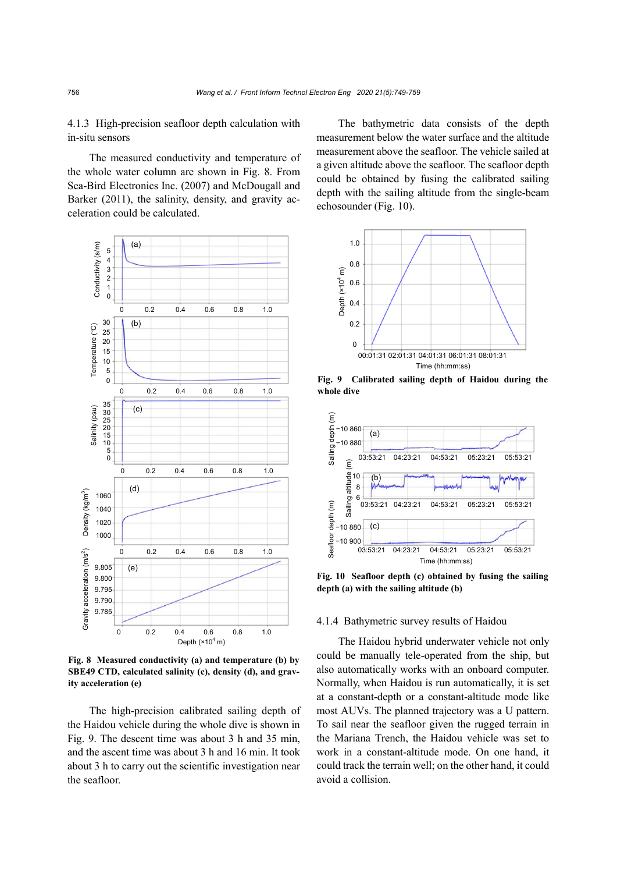4.1.3 High-precision seafloor depth calculation with in-situ sensors

The measured conductivity and temperature of the whole water column are shown in Fig. 8. From Sea-Bird Electronics Inc. (2007) and McDougall and Barker (2011), the salinity, density, and gravity acceleration could be calculated.



**Fig. 8 Measured conductivity (a) and temperature (b) by SBE49 CTD, calculated salinity (c), density (d), and gravity acceleration (e)**

The high-precision calibrated sailing depth of the Haidou vehicle during the whole dive is shown in Fig. 9. The descent time was about 3 h and 35 min, and the ascent time was about 3 h and 16 min. It took about 3 h to carry out the scientific investigation near the seafloor.

The bathymetric data consists of the depth measurement below the water surface and the altitude measurement above the seafloor. The vehicle sailed at a given altitude above the seafloor. The seafloor depth could be obtained by fusing the calibrated sailing depth with the sailing altitude from the single-beam echosounder (Fig. 10).



**Fig. 9 Calibrated sailing depth of Haidou during the whole dive**



**Fig. 10 Seafloor depth (c) obtained by fusing the sailing depth (a) with the sailing altitude (b)**

## 4.1.4 Bathymetric survey results of Haidou

The Haidou hybrid underwater vehicle not only could be manually tele-operated from the ship, but also automatically works with an onboard computer. Normally, when Haidou is run automatically, it is set at a constant-depth or a constant-altitude mode like most AUVs. The planned trajectory was a U pattern. To sail near the seafloor given the rugged terrain in the Mariana Trench, the Haidou vehicle was set to work in a constant-altitude mode. On one hand, it could track the terrain well; on the other hand, it could avoid a collision.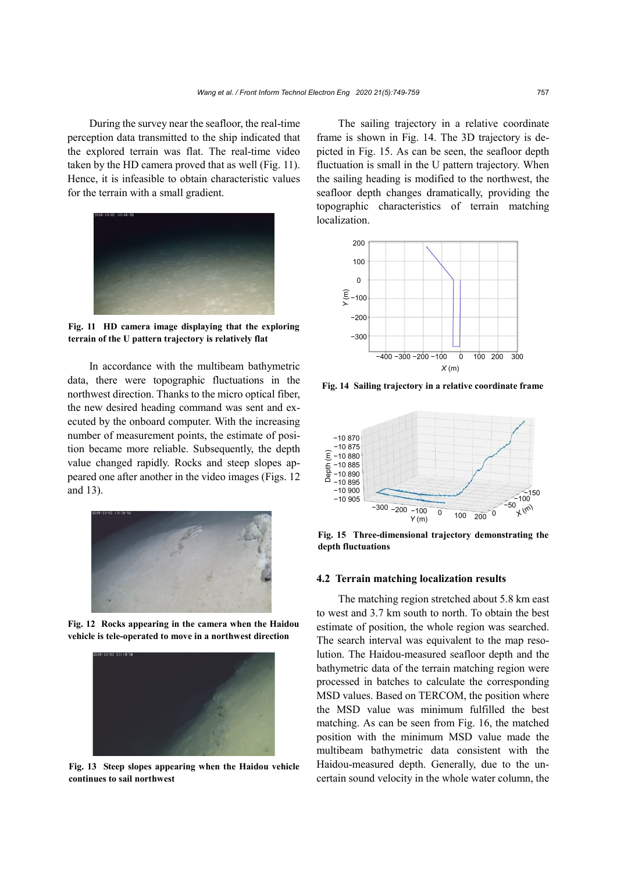During the survey near the seafloor, the real-time perception data transmitted to the ship indicated that the explored terrain was flat. The real-time video taken by the HD camera proved that as well (Fig. 11). Hence, it is infeasible to obtain characteristic values for the terrain with a small gradient.



**Fig. 11 HD camera image displaying that the exploring terrain of the U pattern trajectory is relatively flat**

In accordance with the multibeam bathymetric data, there were topographic fluctuations in the northwest direction. Thanks to the micro optical fiber, the new desired heading command was sent and executed by the onboard computer. With the increasing number of measurement points, the estimate of position became more reliable. Subsequently, the depth value changed rapidly. Rocks and steep slopes appeared one after another in the video images (Figs. 12 and 13).



**Fig. 12 Rocks appearing in the camera when the Haidou vehicle is tele-operated to move in a northwest direction**



**Fig. 13 Steep slopes appearing when the Haidou vehicle continues to sail northwest**

The sailing trajectory in a relative coordinate frame is shown in Fig. 14. The 3D trajectory is depicted in Fig. 15. As can be seen, the seafloor depth fluctuation is small in the U pattern trajectory. When the sailing heading is modified to the northwest, the seafloor depth changes dramatically, providing the topographic characteristics of terrain matching localization.



**Fig. 14 Sailing trajectory in a relative coordinate frame**



**Fig. 15 Three-dimensional trajectory demonstrating the depth fluctuations** 

#### **4.2 Terrain matching localization results**

The matching region stretched about 5.8 km east to west and 3.7 km south to north. To obtain the best estimate of position, the whole region was searched. The search interval was equivalent to the map resolution. The Haidou-measured seafloor depth and the bathymetric data of the terrain matching region were processed in batches to calculate the corresponding MSD values. Based on TERCOM, the position where the MSD value was minimum fulfilled the best matching. As can be seen from Fig. 16, the matched position with the minimum MSD value made the multibeam bathymetric data consistent with the Haidou-measured depth. Generally, due to the uncertain sound velocity in the whole water column, the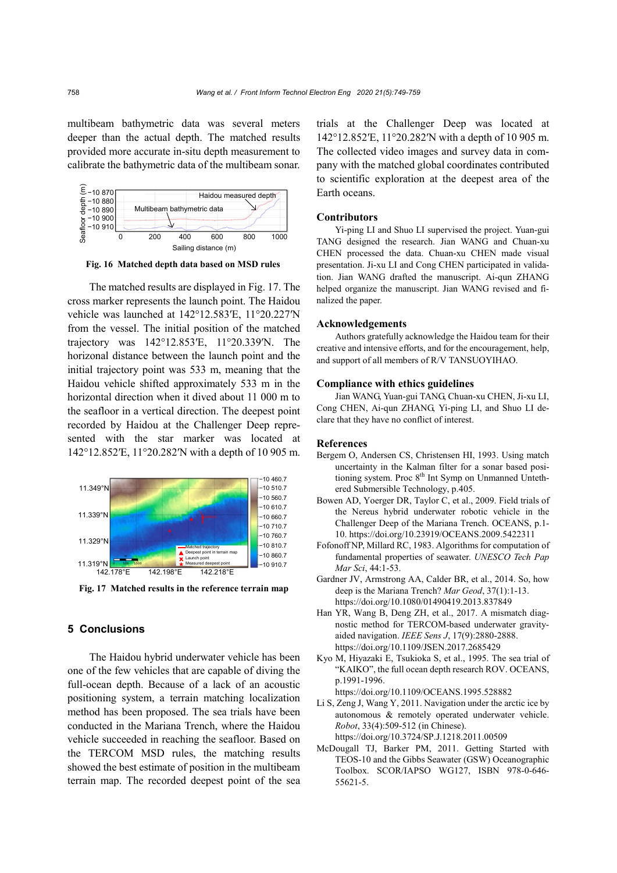multibeam bathymetric data was several meters deeper than the actual depth. The matched results provided more accurate in-situ depth measurement to calibrate the bathymetric data of the multibeam sonar.



**Fig. 16 Matched depth data based on MSD rules**

The matched results are displayed in Fig. 17. The cross marker represents the launch point. The Haidou vehicle was launched at 142°12.583′E, 11°20.227′N from the vessel. The initial position of the matched trajectory was 142°12.853′E, 11°20.339′N. The horizonal distance between the launch point and the initial trajectory point was 533 m, meaning that the Haidou vehicle shifted approximately 533 m in the horizontal direction when it dived about 11 000 m to the seafloor in a vertical direction. The deepest point recorded by Haidou at the Challenger Deep represented with the star marker was located at 142°12.852′E, 11°20.282′N with a depth of 10 905 m.



**Fig. 17 Matched results in the reference terrain map**

# **5 Conclusions**

The Haidou hybrid underwater vehicle has been one of the few vehicles that are capable of diving the full-ocean depth. Because of a lack of an acoustic positioning system, a terrain matching localization method has been proposed. The sea trials have been conducted in the Mariana Trench, where the Haidou vehicle succeeded in reaching the seafloor. Based on the TERCOM MSD rules, the matching results showed the best estimate of position in the multibeam terrain map. The recorded deepest point of the sea trials at the Challenger Deep was located at 142°12.852′E, 11°20.282′N with a depth of 10 905 m. The collected video images and survey data in company with the matched global coordinates contributed to scientific exploration at the deepest area of the Earth oceans.

#### **Contributors**

Yi-ping LI and Shuo LI supervised the project. Yuan-gui TANG designed the research. Jian WANG and Chuan-xu CHEN processed the data. Chuan-xu CHEN made visual presentation. Ji-xu LI and Cong CHEN participated in validation. Jian WANG drafted the manuscript. Ai-qun ZHANG helped organize the manuscript. Jian WANG revised and finalized the paper.

#### **Acknowledgements**

Authors gratefully acknowledge the Haidou team for their creative and intensive efforts, and for the encouragement, help, and support of all members of R/V TANSUOYIHAO.

## **Compliance with ethics guidelines**

Jian WANG, Yuan-gui TANG, Chuan-xu CHEN, Ji-xu LI, Cong CHEN, Ai-qun ZHANG, Yi-ping LI, and Shuo LI declare that they have no conflict of interest.

#### **References**

- Bergem O, Andersen CS, Christensen HI, 1993. Using match uncertainty in the Kalman filter for a sonar based positioning system. Proc 8<sup>th</sup> Int Symp on Unmanned Untethered Submersible Technology, p.405.
- Bowen AD, Yoerger DR, Taylor C, et al., 2009. Field trials of the Nereus hybrid underwater robotic vehicle in the Challenger Deep of the Mariana Trench. OCEANS, p.1- 10. https://doi.org/10.23919/OCEANS.2009.5422311
- Fofonoff NP, Millard RC, 1983. Algorithms for computation of fundamental properties of seawater. *UNESCO Tech Pap Mar Sci*, 44:1-53.
- Gardner JV, Armstrong AA, Calder BR, et al., 2014. So, how deep is the Mariana Trench? *Mar Geod*, 37(1):1-13. https://doi.org/10.1080/01490419.2013.837849
- Han YR, Wang B, Deng ZH, et al., 2017. A mismatch diagnostic method for TERCOM-based underwater gravityaided navigation. *IEEE Sens J*, 17(9):2880-2888. https://doi.org/10.1109/JSEN.2017.2685429
- Kyo M, Hiyazaki E, Tsukioka S, et al., 1995. The sea trial of "KAIKO", the full ocean depth research ROV. OCEANS, p.1991-1996.

https://doi.org/10.1109/OCEANS.1995.528882

- Li S, Zeng J, Wang Y, 2011. Navigation under the arctic ice by autonomous & remotely operated underwater vehicle. *Robot*, 33(4):509-512 (in Chinese). https://doi.org/10.3724/SP.J.1218.2011.00509
- McDougall TJ, Barker PM, 2011. Getting Started with TEOS-10 and the Gibbs Seawater (GSW) Oceanographic Toolbox. SCOR/IAPSO WG127, ISBN 978-0-646- 55621-5.